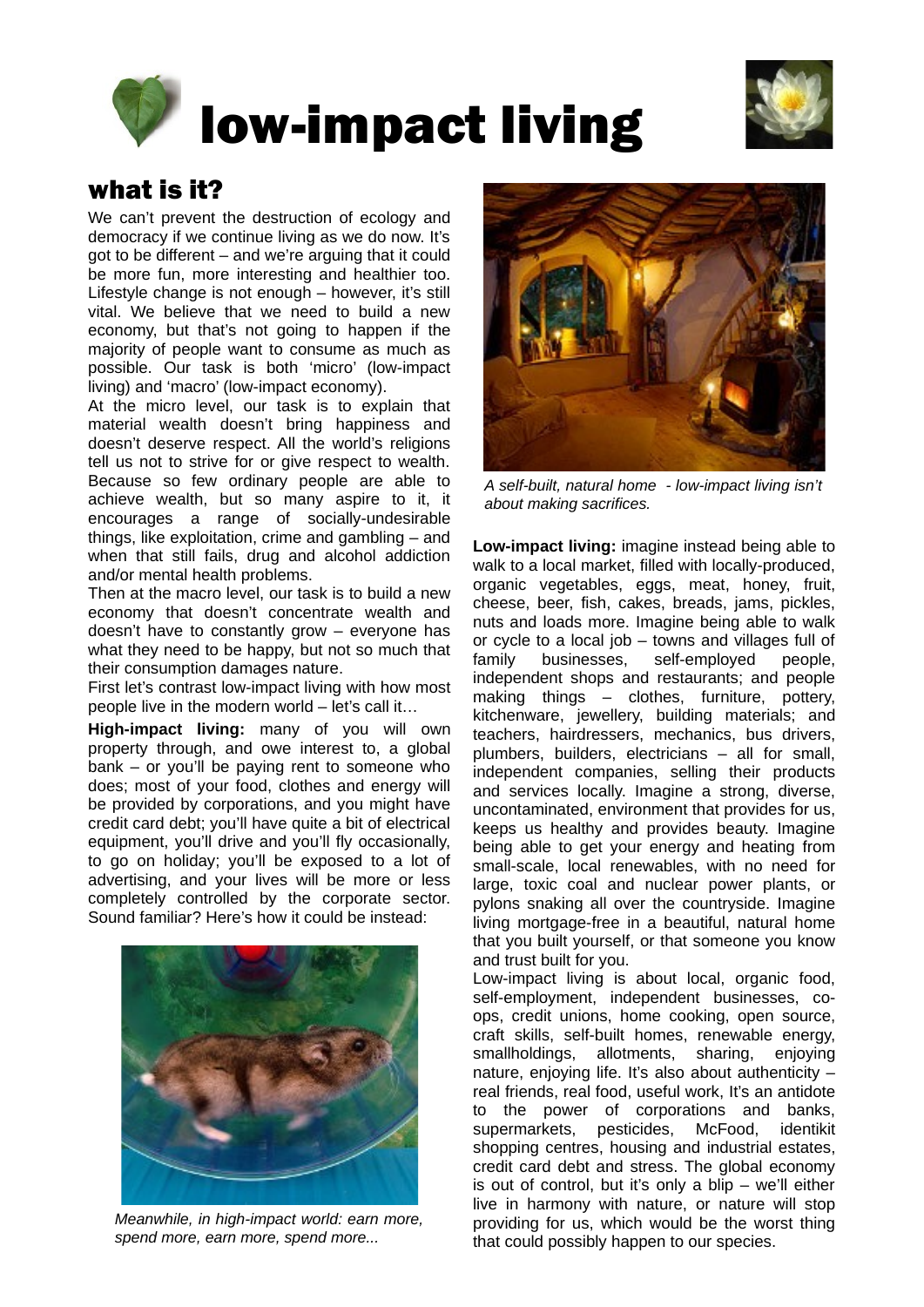



#### what is it?

We can't prevent the destruction of ecology and democracy if we continue living as we do now. It's got to be different – and we're arguing that it could be more fun, more interesting and healthier too. Lifestyle change is not enough – however, it's still vital. We believe that we need to build a new economy, but that's not going to happen if the majority of people want to consume as much as possible. Our task is both 'micro' (low-impact living) and 'macro' (low-impact economy).

At the micro level, our task is to explain that material wealth doesn't bring happiness and doesn't deserve respect. All the world's religions tell us not to strive for or give respect to wealth. Because so few ordinary people are able to achieve wealth, but so many aspire to it, it encourages a range of socially-undesirable things, like exploitation, crime and gambling – and when that still fails, drug and alcohol addiction and/or mental health problems.

Then at the macro level, our task is to build a new economy that doesn't concentrate wealth and doesn't have to constantly grow – everyone has what they need to be happy, but not so much that their consumption damages nature.

First let's contrast low-impact living with how most people live in the modern world – let's call it…

**High-impact living:** many of you will own property through, and owe interest to, a global bank – or you'll be paying rent to someone who does; most of your food, clothes and energy will be provided by corporations, and you might have credit card debt; you'll have quite a bit of electrical equipment, you'll drive and you'll fly occasionally, to go on holiday; you'll be exposed to a lot of advertising, and your lives will be more or less completely controlled by the corporate sector. Sound familiar? Here's how it could be instead:



*Meanwhile, in high-impact world: earn more, spend more, earn more, spend more...*



*A self-built, natural home - low-impact living isn't about making sacrifices.*

**Low-impact living:** imagine instead being able to walk to a local market, filled with locally-produced, organic vegetables, eggs, meat, honey, fruit, cheese, beer, fish, cakes, breads, jams, pickles, nuts and loads more. Imagine being able to walk or cycle to a local job – towns and villages full of family businesses, self-employed people, independent shops and restaurants; and people making things – clothes, furniture, pottery, kitchenware, jewellery, building materials; and teachers, hairdressers, mechanics, bus drivers, plumbers, builders, electricians – all for small, independent companies, selling their products and services locally. Imagine a strong, diverse, uncontaminated, environment that provides for us, keeps us healthy and provides beauty. Imagine being able to get your energy and heating from small-scale, local renewables, with no need for large, toxic coal and nuclear power plants, or pylons snaking all over the countryside. Imagine living mortgage-free in a beautiful, natural home that you built yourself, or that someone you know and trust built for you.

Low-impact living is about local, organic food, self-employment, independent businesses, coops, credit unions, home cooking, open source, craft skills, self-built homes, renewable energy, smallholdings, allotments, sharing, enjoying nature, enjoying life. It's also about authenticity – real friends, real food, useful work, It's an antidote to the power of corporations and banks, supermarkets, pesticides, McFood, identikit shopping centres, housing and industrial estates, credit card debt and stress. The global economy is out of control, but it's only a blip – we'll either live in harmony with nature, or nature will stop providing for us, which would be the worst thing that could possibly happen to our species.